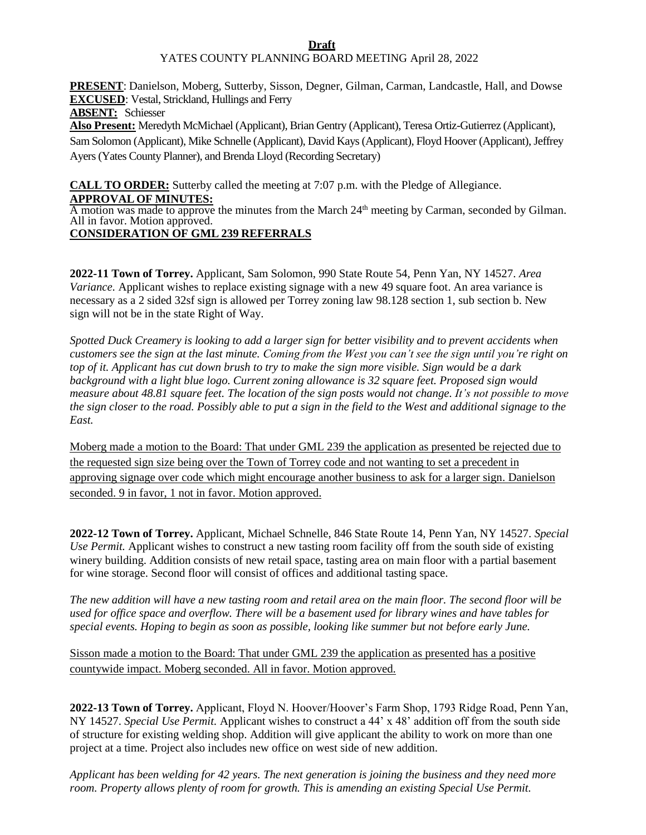## **Draft**

## YATES COUNTY PLANNING BOARD MEETING April 28, 2022

**PRESENT**: Danielson, Moberg, Sutterby, Sisson, Degner, Gilman, Carman, Landcastle, Hall, and Dowse **EXCUSED**: Vestal, Strickland, Hullings and Ferry

**ABSENT:** Schiesser

**Also Present:** Meredyth McMichael (Applicant), Brian Gentry (Applicant), Teresa Ortiz-Gutierrez (Applicant), Sam Solomon (Applicant), Mike Schnelle (Applicant), David Kays (Applicant), Floyd Hoover (Applicant), Jeffrey Ayers (Yates County Planner), and Brenda Lloyd (Recording Secretary)

**CALL TO ORDER:** Sutterby called the meeting at 7:07 p.m. with the Pledge of Allegiance. **APPROVAL OF MINUTES:**

A motion was made to approve the minutes from the March 24<sup>th</sup> meeting by Carman, seconded by Gilman. All in favor. Motion approved.

## **CONSIDERATION OF GML 239 REFERRALS**

**2022-11 Town of Torrey.** Applicant, Sam Solomon, 990 State Route 54, Penn Yan, NY 14527. *Area Variance.* Applicant wishes to replace existing signage with a new 49 square foot. An area variance is necessary as a 2 sided 32sf sign is allowed per Torrey zoning law 98.128 section 1, sub section b. New sign will not be in the state Right of Way.

*Spotted Duck Creamery is looking to add a larger sign for better visibility and to prevent accidents when customers see the sign at the last minute. Coming from the West you can't see the sign until you're right on top of it. Applicant has cut down brush to try to make the sign more visible. Sign would be a dark background with a light blue logo. Current zoning allowance is 32 square feet. Proposed sign would measure about 48.81 square feet. The location of the sign posts would not change. It's not possible to move the sign closer to the road. Possibly able to put a sign in the field to the West and additional signage to the East.*

Moberg made a motion to the Board: That under GML 239 the application as presented be rejected due to the requested sign size being over the Town of Torrey code and not wanting to set a precedent in approving signage over code which might encourage another business to ask for a larger sign. Danielson seconded. 9 in favor, 1 not in favor. Motion approved.

**2022-12 Town of Torrey.** Applicant, Michael Schnelle, 846 State Route 14, Penn Yan, NY 14527. *Special Use Permit.* Applicant wishes to construct a new tasting room facility off from the south side of existing winery building. Addition consists of new retail space, tasting area on main floor with a partial basement for wine storage. Second floor will consist of offices and additional tasting space.

*The new addition will have a new tasting room and retail area on the main floor. The second floor will be used for office space and overflow. There will be a basement used for library wines and have tables for special events. Hoping to begin as soon as possible, looking like summer but not before early June.*

Sisson made a motion to the Board: That under GML 239 the application as presented has a positive countywide impact. Moberg seconded. All in favor. Motion approved.

**2022-13 Town of Torrey.** Applicant, Floyd N. Hoover/Hoover's Farm Shop, 1793 Ridge Road, Penn Yan, NY 14527. *Special Use Permit.* Applicant wishes to construct a 44' x 48' addition off from the south side of structure for existing welding shop. Addition will give applicant the ability to work on more than one project at a time. Project also includes new office on west side of new addition.

*Applicant has been welding for 42 years. The next generation is joining the business and they need more room. Property allows plenty of room for growth. This is amending an existing Special Use Permit.*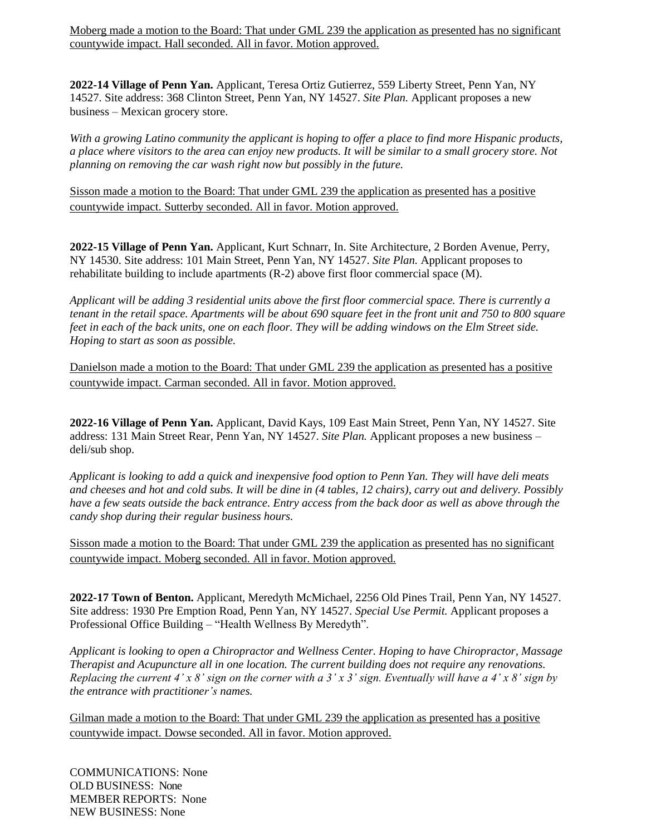Moberg made a motion to the Board: That under GML 239 the application as presented has no significant countywide impact. Hall seconded. All in favor. Motion approved.

**2022-14 Village of Penn Yan.** Applicant, Teresa Ortiz Gutierrez, 559 Liberty Street, Penn Yan, NY 14527. Site address: 368 Clinton Street, Penn Yan, NY 14527. *Site Plan.* Applicant proposes a new business – Mexican grocery store.

*With a growing Latino community the applicant is hoping to offer a place to find more Hispanic products, a place where visitors to the area can enjoy new products. It will be similar to a small grocery store. Not planning on removing the car wash right now but possibly in the future.*

Sisson made a motion to the Board: That under GML 239 the application as presented has a positive countywide impact. Sutterby seconded. All in favor. Motion approved.

**2022-15 Village of Penn Yan.** Applicant, Kurt Schnarr, In. Site Architecture, 2 Borden Avenue, Perry, NY 14530. Site address: 101 Main Street, Penn Yan, NY 14527. *Site Plan.* Applicant proposes to rehabilitate building to include apartments (R-2) above first floor commercial space (M).

*Applicant will be adding 3 residential units above the first floor commercial space. There is currently a tenant in the retail space. Apartments will be about 690 square feet in the front unit and 750 to 800 square feet in each of the back units, one on each floor. They will be adding windows on the Elm Street side. Hoping to start as soon as possible.*

Danielson made a motion to the Board: That under GML 239 the application as presented has a positive countywide impact. Carman seconded. All in favor. Motion approved.

**2022-16 Village of Penn Yan.** Applicant, David Kays, 109 East Main Street, Penn Yan, NY 14527. Site address: 131 Main Street Rear, Penn Yan, NY 14527. *Site Plan.* Applicant proposes a new business – deli/sub shop.

*Applicant is looking to add a quick and inexpensive food option to Penn Yan. They will have deli meats and cheeses and hot and cold subs. It will be dine in (4 tables, 12 chairs), carry out and delivery. Possibly have a few seats outside the back entrance. Entry access from the back door as well as above through the candy shop during their regular business hours.*

Sisson made a motion to the Board: That under GML 239 the application as presented has no significant countywide impact. Moberg seconded. All in favor. Motion approved.

**2022-17 Town of Benton.** Applicant, Meredyth McMichael, 2256 Old Pines Trail, Penn Yan, NY 14527. Site address: 1930 Pre Emption Road, Penn Yan, NY 14527. *Special Use Permit.* Applicant proposes a Professional Office Building – "Health Wellness By Meredyth".

*Applicant is looking to open a Chiropractor and Wellness Center. Hoping to have Chiropractor, Massage Therapist and Acupuncture all in one location. The current building does not require any renovations. Replacing the current 4' x 8' sign on the corner with a 3' x 3' sign. Eventually will have a 4' x 8' sign by the entrance with practitioner's names.*

Gilman made a motion to the Board: That under GML 239 the application as presented has a positive countywide impact. Dowse seconded. All in favor. Motion approved.

COMMUNICATIONS: None OLD BUSINESS: None MEMBER REPORTS: None NEW BUSINESS: None